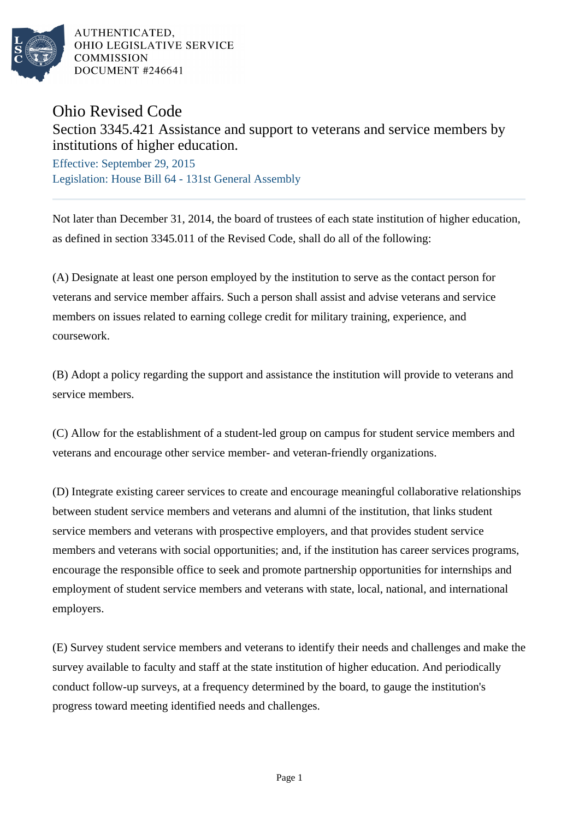

AUTHENTICATED. OHIO LEGISLATIVE SERVICE **COMMISSION** DOCUMENT #246641

## Ohio Revised Code

Section 3345.421 Assistance and support to veterans and service members by institutions of higher education.

Effective: September 29, 2015 Legislation: House Bill 64 - 131st General Assembly

Not later than December 31, 2014, the board of trustees of each state institution of higher education, as defined in section 3345.011 of the Revised Code, shall do all of the following:

(A) Designate at least one person employed by the institution to serve as the contact person for veterans and service member affairs. Such a person shall assist and advise veterans and service members on issues related to earning college credit for military training, experience, and coursework.

(B) Adopt a policy regarding the support and assistance the institution will provide to veterans and service members.

(C) Allow for the establishment of a student-led group on campus for student service members and veterans and encourage other service member- and veteran-friendly organizations.

(D) Integrate existing career services to create and encourage meaningful collaborative relationships between student service members and veterans and alumni of the institution, that links student service members and veterans with prospective employers, and that provides student service members and veterans with social opportunities; and, if the institution has career services programs, encourage the responsible office to seek and promote partnership opportunities for internships and employment of student service members and veterans with state, local, national, and international employers.

(E) Survey student service members and veterans to identify their needs and challenges and make the survey available to faculty and staff at the state institution of higher education. And periodically conduct follow-up surveys, at a frequency determined by the board, to gauge the institution's progress toward meeting identified needs and challenges.